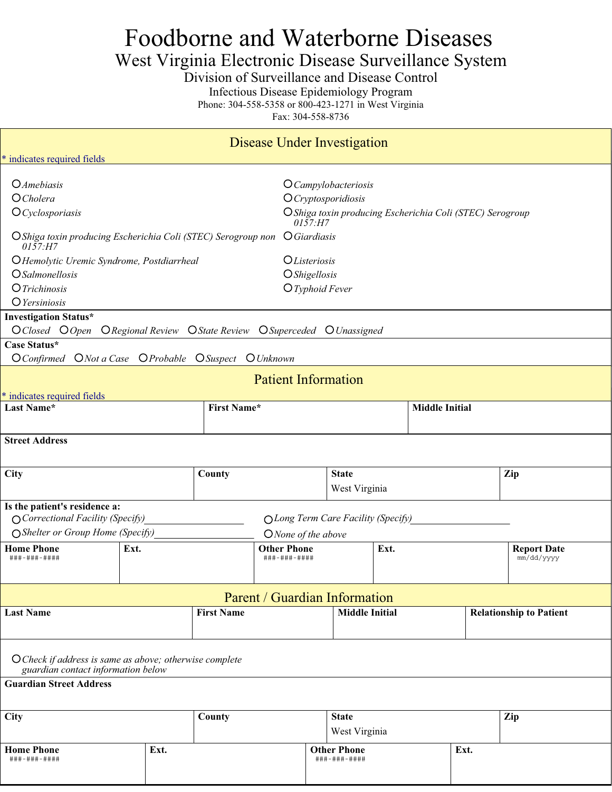# Foodborne and Waterborne Diseases

# West Virginia Electronic Disease Surveillance System

Division of Surveillance and Disease Control

Infectious Disease Epidemiology Program

Phone: 304-558-5358 or 800-423-1271 in West Virginia

Fax: 304-558-8736

| Disease Under Investigation                                                                                        |                                         |                                                                             |                                                          |                                                                                                                   |                       |  |                                  |  |
|--------------------------------------------------------------------------------------------------------------------|-----------------------------------------|-----------------------------------------------------------------------------|----------------------------------------------------------|-------------------------------------------------------------------------------------------------------------------|-----------------------|--|----------------------------------|--|
| * indicates required fields                                                                                        |                                         |                                                                             |                                                          |                                                                                                                   |                       |  |                                  |  |
| <b>O</b> Amebiasis<br>O Cholera<br>$O$ Cyclosporiasis                                                              |                                         |                                                                             |                                                          | O Campylobacteriosis<br>$O$ <i>Cryptosporidiosis</i><br>O Shiga toxin producing Escherichia Coli (STEC) Serogroup |                       |  |                                  |  |
| O Shiga toxin producing Escherichia Coli (STEC) Serogroup non<br>0157·H7                                           |                                         |                                                                             | 0157: H7<br><i><u><b>OGiardiasis</b></u></i>             |                                                                                                                   |                       |  |                                  |  |
| O Hemolytic Uremic Syndrome, Postdiarrheal<br><i>OSalmonellosis</i><br><i><u>OTrichinosis</u></i><br>O Yersiniosis |                                         | <i><u>OListeriosis</u></i><br><i><b>OShigellosis</b></i><br>O Typhoid Fever |                                                          |                                                                                                                   |                       |  |                                  |  |
| <b>Investigation Status*</b><br>O Closed O Open O Regional Review O State Review                                   |                                         |                                                                             | O Superceded O Unassigned                                |                                                                                                                   |                       |  |                                  |  |
| Case Status*<br>$O$ <i>Confirmed</i>                                                                               | ONot a Case OProbable OSuspect OUnknown |                                                                             |                                                          |                                                                                                                   |                       |  |                                  |  |
|                                                                                                                    |                                         |                                                                             | <b>Patient Information</b>                               |                                                                                                                   |                       |  |                                  |  |
| * indicates required fields                                                                                        |                                         |                                                                             |                                                          |                                                                                                                   |                       |  |                                  |  |
| Last Name*                                                                                                         |                                         | <b>First Name*</b>                                                          |                                                          |                                                                                                                   | <b>Middle Initial</b> |  |                                  |  |
| <b>Street Address</b>                                                                                              |                                         |                                                                             |                                                          |                                                                                                                   |                       |  |                                  |  |
| <b>City</b>                                                                                                        |                                         | County                                                                      |                                                          | <b>State</b><br>West Virginia                                                                                     |                       |  | Zip                              |  |
| Is the patient's residence a:<br>O Correctional Facility (Specify)<br>○ Shelter or Group Home (Specify)            |                                         |                                                                             | OLong Term Care Facility (Specify)                       |                                                                                                                   |                       |  |                                  |  |
| <b>Home Phone</b><br>###-###-####                                                                                  | Ext.                                    |                                                                             | ONone of the above<br><b>Other Phone</b><br>###-###-#### | Ext.                                                                                                              |                       |  | <b>Report Date</b><br>mm/dd/yyyy |  |
|                                                                                                                    |                                         |                                                                             | Parent / Guardian Information                            |                                                                                                                   |                       |  |                                  |  |
| <b>Last Name</b>                                                                                                   |                                         | <b>First Name</b>                                                           |                                                          | <b>Middle Initial</b>                                                                                             |                       |  | <b>Relationship to Patient</b>   |  |
| O Check if address is same as above; otherwise complete<br>guardian contact information below                      |                                         |                                                                             |                                                          |                                                                                                                   |                       |  |                                  |  |
| <b>Guardian Street Address</b>                                                                                     |                                         |                                                                             |                                                          |                                                                                                                   |                       |  |                                  |  |

| City                              |      | County |  | <b>State</b><br>West Virginia      | Zip  |  |
|-----------------------------------|------|--------|--|------------------------------------|------|--|
| <b>Home Phone</b><br>###-###-#### | Ext. |        |  | <b>Other Phone</b><br>###-###-#### | Ext. |  |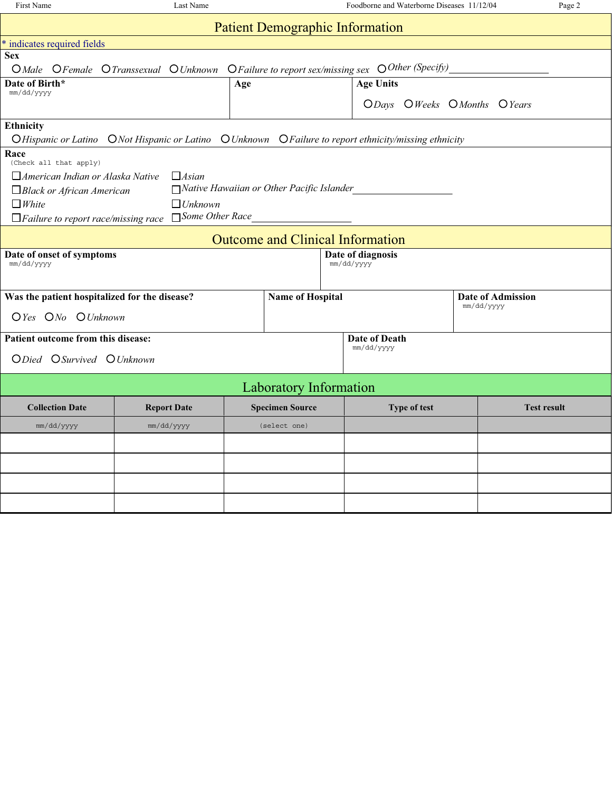| First Name                                                                                              | Last Name                                                                                    |     |                                                  |                  | Foodborne and Waterborne Diseases 11/12/04 | Page 2             |  |
|---------------------------------------------------------------------------------------------------------|----------------------------------------------------------------------------------------------|-----|--------------------------------------------------|------------------|--------------------------------------------|--------------------|--|
|                                                                                                         | <b>Patient Demographic Information</b>                                                       |     |                                                  |                  |                                            |                    |  |
| * indicates required fields                                                                             |                                                                                              |     |                                                  |                  |                                            |                    |  |
| <b>Sex</b>                                                                                              |                                                                                              |     |                                                  |                  |                                            |                    |  |
|                                                                                                         | O Male OFemale O Transsexual O Unknown O Failure to report sex/missing sex O Other (Specify) |     |                                                  |                  |                                            |                    |  |
| Date of Birth*                                                                                          |                                                                                              | Age |                                                  | <b>Age Units</b> |                                            |                    |  |
| mm/dd/yyyy                                                                                              |                                                                                              |     |                                                  |                  | ODays OWeeks OMonths OYears                |                    |  |
|                                                                                                         |                                                                                              |     |                                                  |                  |                                            |                    |  |
| Ethnicity                                                                                               |                                                                                              |     |                                                  |                  |                                            |                    |  |
| O Hispanic or Latino O Not Hispanic or Latino O Unknown O Failure to report ethnicity/missing ethnicity |                                                                                              |     |                                                  |                  |                                            |                    |  |
| Race                                                                                                    |                                                                                              |     |                                                  |                  |                                            |                    |  |
| (Check all that apply)                                                                                  | $\Box$ Asian                                                                                 |     |                                                  |                  |                                            |                    |  |
| $\Box$ American Indian or Alaska Native                                                                 |                                                                                              |     | $\Box$ Native Hawaiian or Other Pacific Islander |                  |                                            |                    |  |
| Black or African American<br>$\Box$ White                                                               | $\Box$ Unknown                                                                               |     |                                                  |                  |                                            |                    |  |
| $\Box$ Some Other Race<br>$\Box$ Failure to report race/missing race                                    |                                                                                              |     |                                                  |                  |                                            |                    |  |
|                                                                                                         |                                                                                              |     |                                                  |                  |                                            |                    |  |
| <b>Outcome and Clinical Information</b>                                                                 |                                                                                              |     |                                                  |                  |                                            |                    |  |
| Date of onset of symptoms<br>Date of diagnosis                                                          |                                                                                              |     |                                                  |                  |                                            |                    |  |
| mm/dd/yyyy<br>mm/dd/yyyy                                                                                |                                                                                              |     |                                                  |                  |                                            |                    |  |
|                                                                                                         |                                                                                              |     |                                                  |                  |                                            |                    |  |
| Was the patient hospitalized for the disease?                                                           |                                                                                              |     | <b>Name of Hospital</b>                          |                  |                                            | Date of Admission  |  |
| OYes ONo OUnknown                                                                                       |                                                                                              |     |                                                  |                  |                                            | mm/dd/yyyy         |  |
|                                                                                                         |                                                                                              |     |                                                  |                  |                                            |                    |  |
| Patient outcome from this disease:                                                                      |                                                                                              |     |                                                  | Date of Death    |                                            |                    |  |
| ODied OSurvived OUnknown                                                                                |                                                                                              |     |                                                  | mm/dd/yyyy       |                                            |                    |  |
|                                                                                                         |                                                                                              |     |                                                  |                  |                                            |                    |  |
|                                                                                                         |                                                                                              |     | <b>Laboratory Information</b>                    |                  |                                            |                    |  |
| <b>Collection Date</b>                                                                                  | <b>Report Date</b>                                                                           |     | <b>Specimen Source</b>                           |                  | Type of test                               | <b>Test result</b> |  |
| mm/dd/yyyy                                                                                              | mm/dd/yyyy                                                                                   |     | (select one)                                     |                  |                                            |                    |  |
|                                                                                                         |                                                                                              |     |                                                  |                  |                                            |                    |  |
|                                                                                                         |                                                                                              |     |                                                  |                  |                                            |                    |  |
|                                                                                                         |                                                                                              |     |                                                  |                  |                                            |                    |  |
|                                                                                                         |                                                                                              |     |                                                  |                  |                                            |                    |  |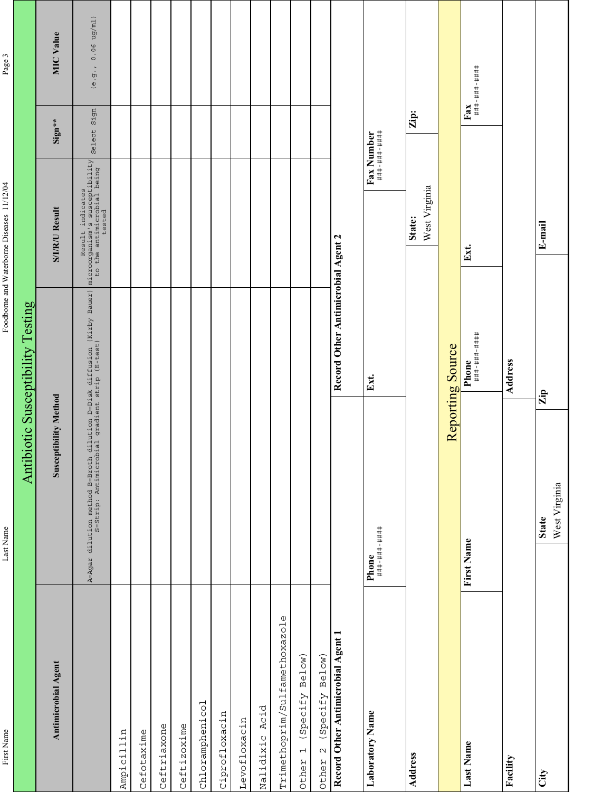| n.     |
|--------|
|        |
| ಡ<br>٥ |
|        |
|        |
| f      |
| ?      |
|        |
| L      |
|        |

Last Name

First Name Last Name Class Name Class Name and Waterborne Diseases 11/12/04 Page 3 Foodborne and Waterborne Diseases 11/12/04

Page 3

|                                                |                                                                                                                          | Antibiotic Susceptibility Testing  |                                                                                |             |                   |
|------------------------------------------------|--------------------------------------------------------------------------------------------------------------------------|------------------------------------|--------------------------------------------------------------------------------|-------------|-------------------|
| Antimicrobial Agent                            | <b>Susceptibility Method</b>                                                                                             |                                    | <b>S/I/R/U Result</b>                                                          | Sign**      | <b>MIC Value</b>  |
|                                                | A=Agar dilution method B=Broth dilution D=Disk diffusion (Kirby Bauer)<br>S=Strip: Antimicrobial gradient strip (E-test) |                                    | Result indicates<br>microorganism's susceptibility<br>to the antested<br>ested | Select Sign | (e.9.70.06 ug/ml) |
| Ampicillin                                     |                                                                                                                          |                                    |                                                                                |             |                   |
| Cefotaxime                                     |                                                                                                                          |                                    |                                                                                |             |                   |
| Ceftriaxone                                    |                                                                                                                          |                                    |                                                                                |             |                   |
| Ceftizoxime                                    |                                                                                                                          |                                    |                                                                                |             |                   |
| Chloramphenicol                                |                                                                                                                          |                                    |                                                                                |             |                   |
| Ciprofloxacin                                  |                                                                                                                          |                                    |                                                                                |             |                   |
| Levofloxacin                                   |                                                                                                                          |                                    |                                                                                |             |                   |
| Nalidixic Acid                                 |                                                                                                                          |                                    |                                                                                |             |                   |
| Trimethoprim/Sulfamethoxazole                  |                                                                                                                          |                                    |                                                                                |             |                   |
| Below)<br>(Specify<br>$\overline{a}$<br>Other  |                                                                                                                          |                                    |                                                                                |             |                   |
| Below)<br>(Specify<br>$\mathbf{\sim}$<br>Other |                                                                                                                          |                                    |                                                                                |             |                   |
| Record Other Antimicrobial Agent 1             |                                                                                                                          | Record Other Antimicrobial Agent 2 |                                                                                |             |                   |
| Laboratory Name                                | <b>Phone</b><br>###-###-#####                                                                                            | Ext.                               | $\bf{F}$ ax Number<br>###-###-####                                             |             |                   |
| Address                                        |                                                                                                                          |                                    | West Virginia<br>State:                                                        | Zip:        |                   |
|                                                |                                                                                                                          | Reporting Source                   |                                                                                |             |                   |
| Last Name                                      | First Name                                                                                                               | <b>Phone</b><br>###-###-#####      | Ext.                                                                           |             | $_{\rm{Fax}}$     |
| Facility                                       |                                                                                                                          | Address                            |                                                                                |             |                   |
| City                                           | West Virginia<br><b>State</b>                                                                                            | Zip                                | E-mail                                                                         |             |                   |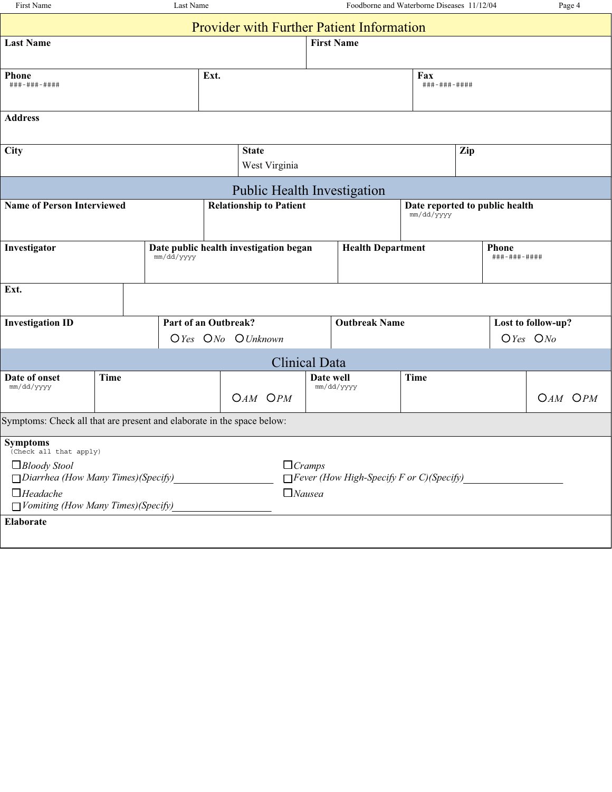| First Name                                                             |             | Last Name |                          |                                                  | Foodborne and Waterborne Diseases 11/12/04 |                                                 |                              |     |  | Page 4             |             |
|------------------------------------------------------------------------|-------------|-----------|--------------------------|--------------------------------------------------|--------------------------------------------|-------------------------------------------------|------------------------------|-----|--|--------------------|-------------|
|                                                                        |             |           |                          | <b>Provider with Further Patient Information</b> |                                            |                                                 |                              |     |  |                    |             |
| <b>Last Name</b>                                                       |             |           |                          |                                                  | <b>First Name</b>                          |                                                 |                              |     |  |                    |             |
| <b>Phone</b>                                                           |             |           | Ext.                     |                                                  |                                            |                                                 | Fax                          |     |  |                    |             |
| ###-###-####                                                           |             |           |                          |                                                  | ###-###-####                               |                                                 |                              |     |  |                    |             |
| <b>Address</b>                                                         |             |           |                          |                                                  |                                            |                                                 |                              |     |  |                    |             |
|                                                                        |             |           |                          |                                                  |                                            |                                                 |                              |     |  |                    |             |
| City                                                                   |             |           |                          | <b>State</b>                                     |                                            |                                                 |                              | Zip |  |                    |             |
| West Virginia                                                          |             |           |                          |                                                  |                                            |                                                 |                              |     |  |                    |             |
|                                                                        |             |           |                          | <b>Public Health Investigation</b>               |                                            |                                                 |                              |     |  |                    |             |
| <b>Name of Person Interviewed</b><br><b>Relationship to Patient</b>    |             |           |                          | Date reported to public health<br>mm/dd/yyyy     |                                            |                                                 |                              |     |  |                    |             |
|                                                                        |             |           |                          |                                                  |                                            |                                                 |                              |     |  |                    |             |
| Investigator<br>Date public health investigation began<br>mm/dd/yyyy   |             |           | <b>Health Department</b> |                                                  |                                            |                                                 | <b>Phone</b><br>###-###-#### |     |  |                    |             |
|                                                                        |             |           |                          |                                                  |                                            |                                                 |                              |     |  |                    |             |
| Ext.                                                                   |             |           |                          |                                                  |                                            |                                                 |                              |     |  |                    |             |
| <b>Investigation ID</b>                                                |             |           | Part of an Outbreak?     |                                                  |                                            | <b>Outbreak Name</b>                            |                              |     |  | Lost to follow-up? |             |
|                                                                        |             |           |                          | OYes ONo OUnknown                                | $O$ Yes $ONo$                              |                                                 |                              |     |  |                    |             |
|                                                                        |             |           |                          | <b>Clinical Data</b>                             |                                            |                                                 |                              |     |  |                    |             |
| Date of onset<br>mm/dd/yyyy                                            | <b>Time</b> |           |                          |                                                  | Date well                                  | mm/dd/yyyy                                      | <b>Time</b>                  |     |  |                    |             |
|                                                                        |             |           |                          | $OAM$ $OPM$                                      |                                            |                                                 |                              |     |  |                    | $OAM$ $OPM$ |
| Symptoms: Check all that are present and elaborate in the space below: |             |           |                          |                                                  |                                            |                                                 |                              |     |  |                    |             |
| <b>Symptoms</b><br>(Check all that apply)                              |             |           |                          |                                                  |                                            |                                                 |                              |     |  |                    |             |
| $\Box$ Bloody Stool                                                    |             |           |                          | $\Box$ <i>Cramps</i>                             |                                            |                                                 |                              |     |  |                    |             |
| $\Box$ Diarrhea (How Many Times) (Specify)<br>$\Box$ Headache          |             |           |                          | $\Box$ Nausea                                    |                                            | $\Box$ Fever (How High-Specify F or C)(Specify) |                              |     |  |                    |             |
| $\Box$ Vomiting (How Many Times) (Specify)                             |             |           |                          |                                                  |                                            |                                                 |                              |     |  |                    |             |
| Elaborate                                                              |             |           |                          |                                                  |                                            |                                                 |                              |     |  |                    |             |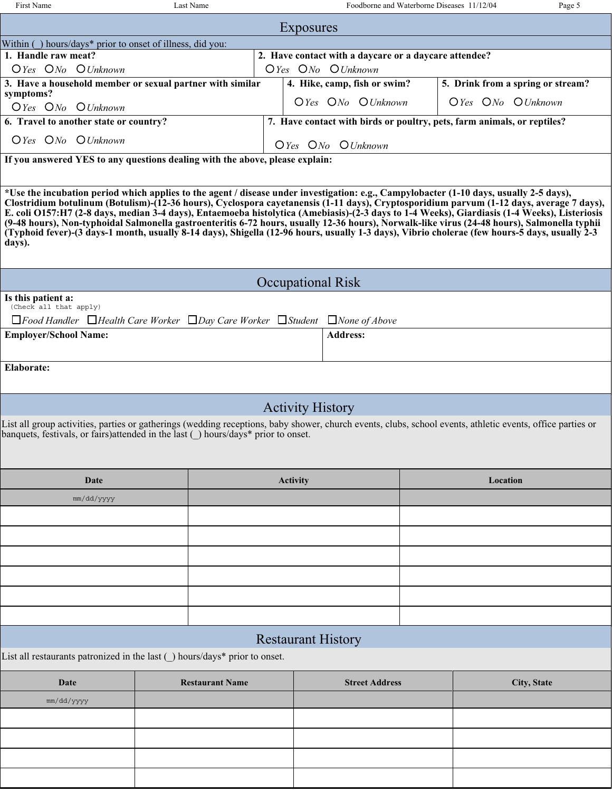| First Name                                           | Last Name                                                 | Foodborne and Waterborne Diseases 11/12/04                              | Page 5                                          |  |  |  |  |
|------------------------------------------------------|-----------------------------------------------------------|-------------------------------------------------------------------------|-------------------------------------------------|--|--|--|--|
| Exposures                                            |                                                           |                                                                         |                                                 |  |  |  |  |
|                                                      | Within () hours/days* prior to onset of illness, did you: |                                                                         |                                                 |  |  |  |  |
| 1. Handle raw meat?                                  |                                                           | 2. Have contact with a daycare or a daycare attendee?                   |                                                 |  |  |  |  |
| $O$ <i>Yes</i> $O$ <i>No</i> $O$ <i>Unknown</i>      |                                                           | $O$ <i>Yes</i> $O$ <i>No</i> $O$ <i>Unknown</i>                         |                                                 |  |  |  |  |
|                                                      | 3. Have a household member or sexual partner with similar | 4. Hike, camp, fish or swim?                                            | 5. Drink from a spring or stream?               |  |  |  |  |
| symptoms?<br>$O$ <i>Yes</i> $ONo$ $O$ <i>Unknown</i> |                                                           | $O$ <i>Yes</i> $O$ <i>No</i> $O$ <i>Unknown</i>                         | $O$ <i>Yes</i> $O$ <i>No</i> $O$ <i>Unknown</i> |  |  |  |  |
| 6. Travel to another state or country?               |                                                           | 7. Have contact with birds or poultry, pets, farm animals, or reptiles? |                                                 |  |  |  |  |
| $O$ <i>Yes</i> $ONo$ $O$ <i>Unknown</i>              |                                                           | $O$ <i>Yes</i> $ONo$ $O$ <i>Unknown</i>                                 |                                                 |  |  |  |  |

**If you answered YES to any questions dealing with the above, please explain:**

**days). (Typhoid fever)-(3 days-1 month, usually 8-14 days), Shigella (12-96 hours, usually 1-3 days), Vibrio cholerae (few hours-5 days, usually 2-3 (9-48 hours), Non-typhoidal Salmonella gastroenteritis 6-72 hours, usually 12-36 hours), Norwalk-like virus (24-48 hours), Salmonella typhii E. coli O157:H7 (2-8 days, median 3-4 days), Entaemoeba histolytica (Amebiasis)-(2-3 days to 1-4 Weeks), Giardiasis (1-4 Weeks), Listeriosis Clostridium botulinum (Botulism)-(12-36 hours), Cyclospora cayetanensis (1-11 days), Cryptosporidium parvum (1-12 days, average 7 days), \*Use the incubation period which applies to the agent / disease under investigation: e.g., Campylobacter (1-10 days, usually 2-5 days),**

| <b>Occupational Risk</b>                                                                                 |                 |  |  |  |  |
|----------------------------------------------------------------------------------------------------------|-----------------|--|--|--|--|
| Is this patient a:<br>(Check all that apply)                                                             |                 |  |  |  |  |
| $\Box$ Food Handler $\Box$ Health Care Worker $\Box$ Day Care Worker $\Box$ Student $\Box$ None of Above |                 |  |  |  |  |
| <b>Employer/School Name:</b>                                                                             | <b>Address:</b> |  |  |  |  |
|                                                                                                          |                 |  |  |  |  |
| Elaborate:                                                                                               |                 |  |  |  |  |

## Activity History

banquets, festivals, or fairs)attended in the last (\_) hours/days\* prior to onset. List all group activities, parties or gatherings (wedding receptions, baby shower, church events, clubs, school events, athletic events, office parties or

| Date       | Activity                                                                                                                                                                                                                    | Location |
|------------|-----------------------------------------------------------------------------------------------------------------------------------------------------------------------------------------------------------------------------|----------|
| mm/dd/yyyy |                                                                                                                                                                                                                             |          |
|            |                                                                                                                                                                                                                             |          |
|            |                                                                                                                                                                                                                             |          |
|            |                                                                                                                                                                                                                             |          |
|            |                                                                                                                                                                                                                             |          |
|            |                                                                                                                                                                                                                             |          |
|            |                                                                                                                                                                                                                             |          |
|            | and the state of the state of the<br>$- - -$<br>$\mathcal{L}^{\text{max}}_{\text{max}}$ and $\mathcal{L}^{\text{max}}_{\text{max}}$ and $\mathcal{L}^{\text{max}}_{\text{max}}$ and $\mathcal{L}^{\text{max}}_{\text{max}}$ |          |

#### Restaurant History

List all restaurants patronized in the last () hours/days\* prior to onset.

| Date       | <b>Restaurant Name</b> | <b>Street Address</b> | <b>City, State</b> |
|------------|------------------------|-----------------------|--------------------|
| mm/dd/yyyy |                        |                       |                    |
|            |                        |                       |                    |
|            |                        |                       |                    |
|            |                        |                       |                    |
|            |                        |                       |                    |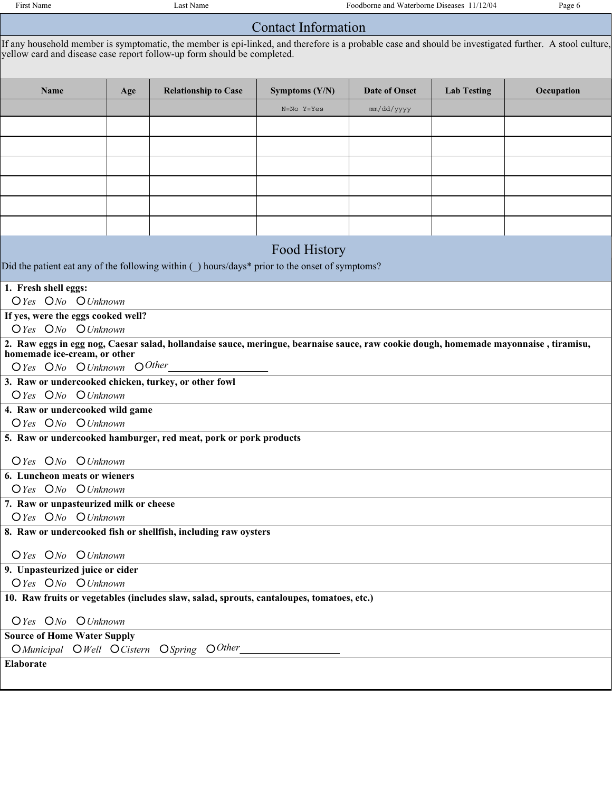First Name Last Name Last Name Foodborne and Waterborne Diseases 11/12/04 Page 6

### Contact Information

yellow card and disease case report follow-up form should be completed. If any household member is symptomatic, the member is epi-linked, and therefore is a probable case and should be investigated further. A stool culture,

| Name                                                                                                                                 | Age                             | <b>Relationship to Case</b>                                                               | Symptoms $(Y/N)$ | Date of Onset | <b>Lab Testing</b> | Occupation |  |
|--------------------------------------------------------------------------------------------------------------------------------------|---------------------------------|-------------------------------------------------------------------------------------------|------------------|---------------|--------------------|------------|--|
|                                                                                                                                      |                                 |                                                                                           | N=No Y=Yes       | mm/dd/yyyy    |                    |            |  |
|                                                                                                                                      |                                 |                                                                                           |                  |               |                    |            |  |
|                                                                                                                                      |                                 |                                                                                           |                  |               |                    |            |  |
|                                                                                                                                      |                                 |                                                                                           |                  |               |                    |            |  |
|                                                                                                                                      |                                 |                                                                                           |                  |               |                    |            |  |
|                                                                                                                                      |                                 |                                                                                           |                  |               |                    |            |  |
|                                                                                                                                      |                                 |                                                                                           |                  |               |                    |            |  |
| Food History                                                                                                                         |                                 |                                                                                           |                  |               |                    |            |  |
| Did the patient eat any of the following within () hours/days* prior to the onset of symptoms?                                       |                                 |                                                                                           |                  |               |                    |            |  |
| 1. Fresh shell eggs:                                                                                                                 |                                 |                                                                                           |                  |               |                    |            |  |
| OYes ONo OUnknown                                                                                                                    |                                 |                                                                                           |                  |               |                    |            |  |
| If yes, were the eggs cooked well?<br>OYes ONo OUnknown                                                                              |                                 |                                                                                           |                  |               |                    |            |  |
| 2. Raw eggs in egg nog, Caesar salad, hollandaise sauce, meringue, bearnaise sauce, raw cookie dough, homemade mayonnaise, tiramisu, |                                 |                                                                                           |                  |               |                    |            |  |
| homemade ice-cream, or other<br>OYes ONo OUnknown OOther                                                                             |                                 |                                                                                           |                  |               |                    |            |  |
| 3. Raw or undercooked chicken, turkey, or other fowl                                                                                 |                                 |                                                                                           |                  |               |                    |            |  |
| OYes ONo OUnknown                                                                                                                    |                                 |                                                                                           |                  |               |                    |            |  |
|                                                                                                                                      | 4. Raw or undercooked wild game |                                                                                           |                  |               |                    |            |  |
| OYes ONo OUnknown                                                                                                                    |                                 |                                                                                           |                  |               |                    |            |  |
|                                                                                                                                      |                                 | 5. Raw or undercooked hamburger, red meat, pork or pork products                          |                  |               |                    |            |  |
| OYes ONo OUnknown                                                                                                                    |                                 |                                                                                           |                  |               |                    |            |  |
| 6. Luncheon meats or wieners                                                                                                         |                                 |                                                                                           |                  |               |                    |            |  |
| OYes ONo OUnknown                                                                                                                    |                                 |                                                                                           |                  |               |                    |            |  |
| 7. Raw or unpasteurized milk or cheese                                                                                               |                                 |                                                                                           |                  |               |                    |            |  |
| OYes ONo OUnknown                                                                                                                    |                                 |                                                                                           |                  |               |                    |            |  |
|                                                                                                                                      |                                 | 8. Raw or undercooked fish or shellfish, including raw oysters                            |                  |               |                    |            |  |
| $O$ Yes $ONo$ $O$ Unknown                                                                                                            |                                 |                                                                                           |                  |               |                    |            |  |
| 9. Unpasteurized juice or cider                                                                                                      |                                 |                                                                                           |                  |               |                    |            |  |
| OYes ONo OUnknown                                                                                                                    |                                 |                                                                                           |                  |               |                    |            |  |
|                                                                                                                                      |                                 | 10. Raw fruits or vegetables (includes slaw, salad, sprouts, cantaloupes, tomatoes, etc.) |                  |               |                    |            |  |
| OYes ONo OUnknown                                                                                                                    |                                 |                                                                                           |                  |               |                    |            |  |
| <b>Source of Home Water Supply</b>                                                                                                   |                                 |                                                                                           |                  |               |                    |            |  |
|                                                                                                                                      |                                 | O Municipal O Well O Cistern O Spring O Other                                             |                  |               |                    |            |  |
| Elaborate                                                                                                                            |                                 |                                                                                           |                  |               |                    |            |  |
|                                                                                                                                      |                                 |                                                                                           |                  |               |                    |            |  |
|                                                                                                                                      |                                 |                                                                                           |                  |               |                    |            |  |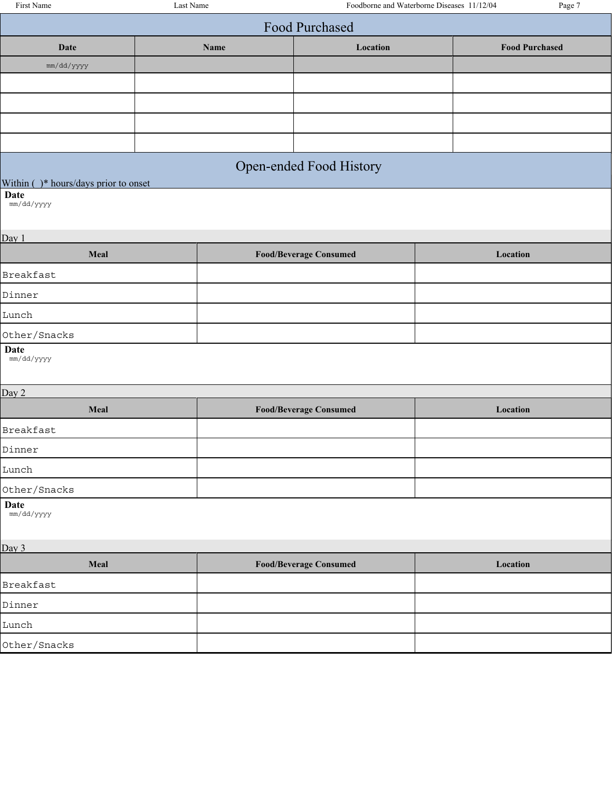| <b>Food Purchased</b>                    |                       |  |  |  |  |  |  |
|------------------------------------------|-----------------------|--|--|--|--|--|--|
| Location<br>Date<br>Name                 | <b>Food Purchased</b> |  |  |  |  |  |  |
| mm/dd/yyyy                               |                       |  |  |  |  |  |  |
|                                          |                       |  |  |  |  |  |  |
|                                          |                       |  |  |  |  |  |  |
|                                          |                       |  |  |  |  |  |  |
|                                          |                       |  |  |  |  |  |  |
| Open-ended Food History                  |                       |  |  |  |  |  |  |
| Within (<br>)* hours/days prior to onset |                       |  |  |  |  |  |  |

**Date** mm/dd/yyyy

Day 1

| Meal                  | <b>Food/Beverage Consumed</b> | Location |
|-----------------------|-------------------------------|----------|
| Breakfast             |                               |          |
| Dinner                |                               |          |
| Lunch                 |                               |          |
| Other/Snacks          |                               |          |
| $\mathbf{D}_{\alpha}$ |                               |          |

**Date** mm/dd/yyyy

Day 2 **Meal Food/Beverage Consumed Location** Breakfast Dinner Lunch Other/Snacks

**Date**

mm/dd/yyyy

| Day 3        |                               |          |  |  |
|--------------|-------------------------------|----------|--|--|
| Meal         | <b>Food/Beverage Consumed</b> | Location |  |  |
| Breakfast    |                               |          |  |  |
| Dinner       |                               |          |  |  |
| Lunch        |                               |          |  |  |
| Other/Snacks |                               |          |  |  |